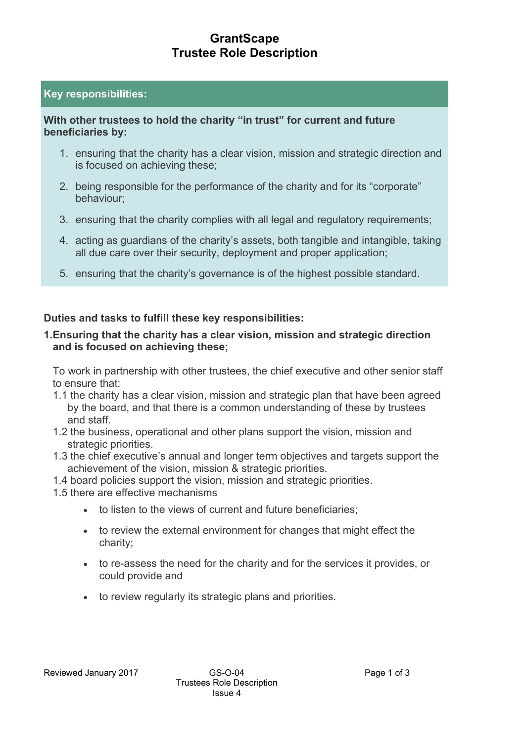# **GrantScape Trustee Role Description**

### **Key responsibilities:**

### **With other trustees to hold the charity "in trust" for current and future beneficiaries by:**

- 1. ensuring that the charity has a clear vision, mission and strategic direction and is focused on achieving these;
- 2. being responsible for the performance of the charity and for its "corporate" behaviour;
- 3. ensuring that the charity complies with all legal and regulatory requirements;
- 4. acting as guardians of the charity's assets, both tangible and intangible, taking all due care over their security, deployment and proper application;
- 5. ensuring that the charity's governance is of the highest possible standard.

### **Duties and tasks to fulfill these key responsibilities:**

### **1.Ensuring that the charity has a clear vision, mission and strategic direction and is focused on achieving these;**

To work in partnership with other trustees, the chief executive and other senior staff to ensure that:

- 1.1the charity has a clear vision, mission and strategic plan that have been agreed by the board, and that there is a common understanding of these by trustees and staff.
- 1.2 the business, operational and other plans support the vision, mission and strategic priorities.
- 1.3the chief executive's annual and longer term objectives and targets support the achievement of the vision, mission & strategic priorities.
- 1.4 board policies support the vision, mission and strategic priorities.
- 1.5 there are effective mechanisms
	- to listen to the views of current and future beneficiaries;
	- to review the external environment for changes that might effect the charity;
	- to re-assess the need for the charity and for the services it provides, or could provide and
	- to review regularly its strategic plans and priorities.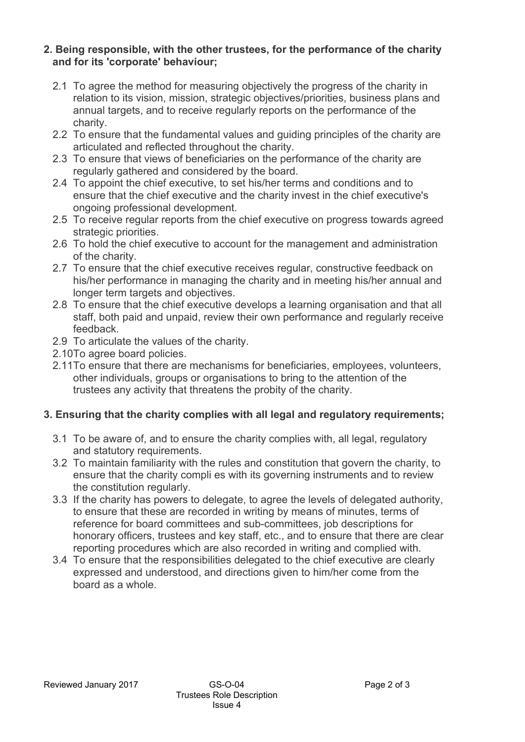#### **2.Being responsible, with the other trustees, for the performance of the charity and for its 'corporate' behaviour;**

- 2.1 To agree the method for measuring objectively the progress of the charity in relation to its vision, mission, strategic objectives/priorities, business plans and annual targets, and to receive regularly reports on the performance of the charity.
- 2.2 To ensure that the fundamental values and guiding principles of the charity are articulated and reflected throughout the charity.
- 2.3 To ensure that views of beneficiaries on the performance of the charity are regularly gathered and considered by the board.
- 2.4 To appoint the chief executive, to set his/her terms and conditions and to ensure that the chief executive and the charity invest in the chief executive's ongoing professional development.
- 2.5 To receive regular reports from the chief executive on progress towards agreed strategic priorities.
- 2.6 To hold the chief executive to account for the management and administration of the charity.
- 2.7 To ensure that the chief executive receives regular, constructive feedback on his/her performance in managing the charity and in meeting his/her annual and longer term targets and objectives.
- 2.8 To ensure that the chief executive develops a learning organisation and that all staff, both paid and unpaid, review their own performance and regularly receive feedback.
- 2.9 To articulate the values of the charity.
- 2.10 To agree board policies.
- 2.11 To ensure that there are mechanisms for beneficiaries, employees, volunteers, other individuals, groups or organisations to bring to the attention of the trustees any activity that threatens the probity of the charity.

## **3. Ensuring that the charity complies with all legal and regulatory requirements;**

- 3.1 To be aware of, and to ensure the charity complies with, all legal, regulatory and statutory requirements.
- 3.2 To maintain familiarity with the rules and constitution that govern the charity, to ensure that the charity compli es with its governing instruments and to review the constitution regularly.
- 3.3 If the charity has powers to delegate, to agree the levels of delegated authority, to ensure that these are recorded in writing by means of minutes, terms of reference for board committees and sub-committees, job descriptions for honorary officers, trustees and key staff, etc., and to ensure that there are clear reporting procedures which are also recorded in writing and complied with.
- 3.4 To ensure that the responsibilities delegated to the chief executive are clearly expressed and understood, and directions given to him/her come from the board as a whole.